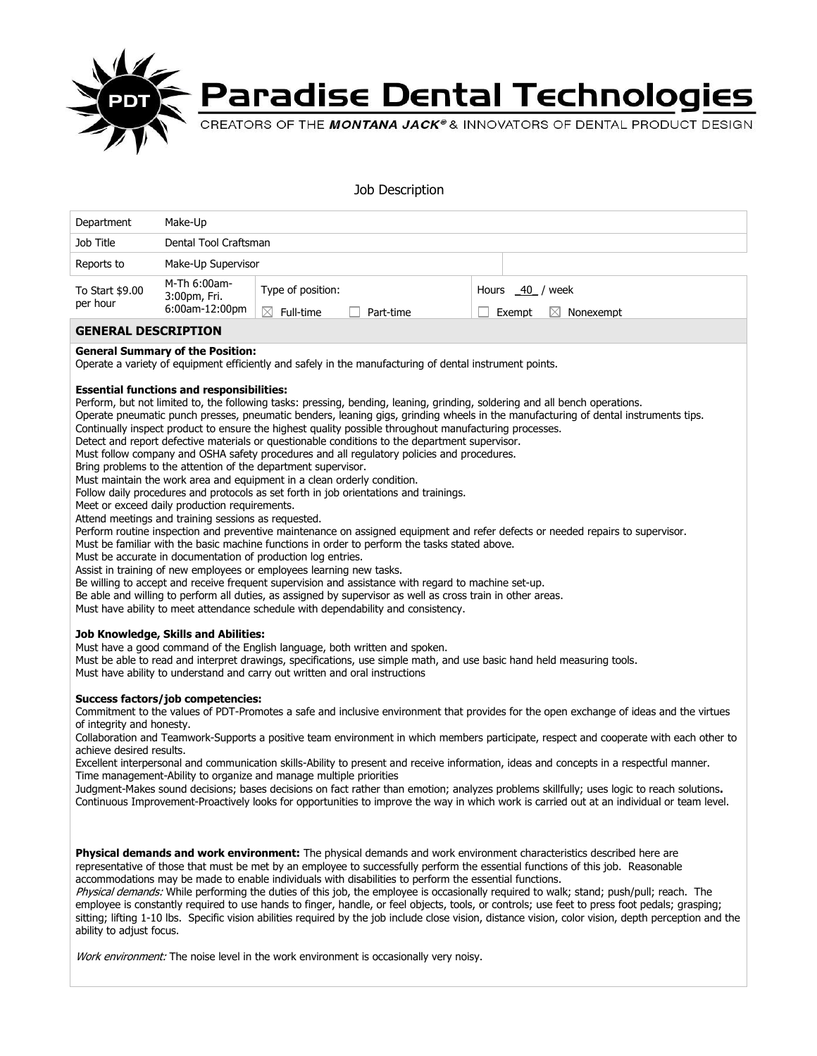

## **Paradise Dental Technologies**

## Job Description

| Department                                                                                                                                                                                                                                                                                                                                                                                                                                                                                                                                                                                                                                                                                                                                                                                                                                                                                                                                                                                                                                                                                                                                                                                                                                                                                                                                                                                                                                                                                                                                                                                                                                                                                                                                                                                                                                                                                                                                                                                                                                                                                                                                                                                                                                                                                                                                                                                                                                                                                                                                                                                                                                                                                                                                                                                                                                                                                                    | Make-Up                                        |                                                                        |           |  |                                                                                                                                                                                                                                                               |  |
|---------------------------------------------------------------------------------------------------------------------------------------------------------------------------------------------------------------------------------------------------------------------------------------------------------------------------------------------------------------------------------------------------------------------------------------------------------------------------------------------------------------------------------------------------------------------------------------------------------------------------------------------------------------------------------------------------------------------------------------------------------------------------------------------------------------------------------------------------------------------------------------------------------------------------------------------------------------------------------------------------------------------------------------------------------------------------------------------------------------------------------------------------------------------------------------------------------------------------------------------------------------------------------------------------------------------------------------------------------------------------------------------------------------------------------------------------------------------------------------------------------------------------------------------------------------------------------------------------------------------------------------------------------------------------------------------------------------------------------------------------------------------------------------------------------------------------------------------------------------------------------------------------------------------------------------------------------------------------------------------------------------------------------------------------------------------------------------------------------------------------------------------------------------------------------------------------------------------------------------------------------------------------------------------------------------------------------------------------------------------------------------------------------------------------------------------------------------------------------------------------------------------------------------------------------------------------------------------------------------------------------------------------------------------------------------------------------------------------------------------------------------------------------------------------------------------------------------------------------------------------------------------------------------|------------------------------------------------|------------------------------------------------------------------------|-----------|--|---------------------------------------------------------------------------------------------------------------------------------------------------------------------------------------------------------------------------------------------------------------|--|
| Job Title                                                                                                                                                                                                                                                                                                                                                                                                                                                                                                                                                                                                                                                                                                                                                                                                                                                                                                                                                                                                                                                                                                                                                                                                                                                                                                                                                                                                                                                                                                                                                                                                                                                                                                                                                                                                                                                                                                                                                                                                                                                                                                                                                                                                                                                                                                                                                                                                                                                                                                                                                                                                                                                                                                                                                                                                                                                                                                     | Dental Tool Craftsman                          |                                                                        |           |  |                                                                                                                                                                                                                                                               |  |
| Reports to                                                                                                                                                                                                                                                                                                                                                                                                                                                                                                                                                                                                                                                                                                                                                                                                                                                                                                                                                                                                                                                                                                                                                                                                                                                                                                                                                                                                                                                                                                                                                                                                                                                                                                                                                                                                                                                                                                                                                                                                                                                                                                                                                                                                                                                                                                                                                                                                                                                                                                                                                                                                                                                                                                                                                                                                                                                                                                    | Make-Up Supervisor                             |                                                                        |           |  |                                                                                                                                                                                                                                                               |  |
| To Start \$9.00<br>per hour                                                                                                                                                                                                                                                                                                                                                                                                                                                                                                                                                                                                                                                                                                                                                                                                                                                                                                                                                                                                                                                                                                                                                                                                                                                                                                                                                                                                                                                                                                                                                                                                                                                                                                                                                                                                                                                                                                                                                                                                                                                                                                                                                                                                                                                                                                                                                                                                                                                                                                                                                                                                                                                                                                                                                                                                                                                                                   | M-Th 6:00am-<br>3:00pm, Fri.<br>6:00am-12:00pm | Type of position:<br>$\boxtimes$ Full-time<br>$\overline{\phantom{a}}$ | Part-time |  | Hours 40 / week<br>Exempt<br>$\boxtimes$ Nonexempt                                                                                                                                                                                                            |  |
| <b>GENERAL DESCRIPTION</b>                                                                                                                                                                                                                                                                                                                                                                                                                                                                                                                                                                                                                                                                                                                                                                                                                                                                                                                                                                                                                                                                                                                                                                                                                                                                                                                                                                                                                                                                                                                                                                                                                                                                                                                                                                                                                                                                                                                                                                                                                                                                                                                                                                                                                                                                                                                                                                                                                                                                                                                                                                                                                                                                                                                                                                                                                                                                                    |                                                |                                                                        |           |  |                                                                                                                                                                                                                                                               |  |
| <b>General Summary of the Position:</b><br>Operate a variety of equipment efficiently and safely in the manufacturing of dental instrument points.                                                                                                                                                                                                                                                                                                                                                                                                                                                                                                                                                                                                                                                                                                                                                                                                                                                                                                                                                                                                                                                                                                                                                                                                                                                                                                                                                                                                                                                                                                                                                                                                                                                                                                                                                                                                                                                                                                                                                                                                                                                                                                                                                                                                                                                                                                                                                                                                                                                                                                                                                                                                                                                                                                                                                            |                                                |                                                                        |           |  |                                                                                                                                                                                                                                                               |  |
| <b>Essential functions and responsibilities:</b><br>Perform, but not limited to, the following tasks: pressing, bending, leaning, grinding, soldering and all bench operations.<br>Operate pneumatic punch presses, pneumatic benders, leaning gigs, grinding wheels in the manufacturing of dental instruments tips.<br>Continually inspect product to ensure the highest quality possible throughout manufacturing processes.<br>Detect and report defective materials or questionable conditions to the department supervisor.<br>Must follow company and OSHA safety procedures and all regulatory policies and procedures.<br>Bring problems to the attention of the department supervisor.<br>Must maintain the work area and equipment in a clean orderly condition.<br>Follow daily procedures and protocols as set forth in job orientations and trainings.<br>Meet or exceed daily production requirements.<br>Attend meetings and training sessions as reguested.<br>Perform routine inspection and preventive maintenance on assigned equipment and refer defects or needed repairs to supervisor.<br>Must be familiar with the basic machine functions in order to perform the tasks stated above.<br>Must be accurate in documentation of production log entries.<br>Assist in training of new employees or employees learning new tasks.<br>Be willing to accept and receive frequent supervision and assistance with regard to machine set-up.<br>Be able and willing to perform all duties, as assigned by supervisor as well as cross train in other areas.<br>Must have ability to meet attendance schedule with dependability and consistency.<br><b>Job Knowledge, Skills and Abilities:</b><br>Must have a good command of the English language, both written and spoken.<br>Must be able to read and interpret drawings, specifications, use simple math, and use basic hand held measuring tools.<br>Must have ability to understand and carry out written and oral instructions<br><b>Success factors/job competencies:</b><br>Commitment to the values of PDT-Promotes a safe and inclusive environment that provides for the open exchange of ideas and the virtues<br>of integrity and honesty.<br>Collaboration and Teamwork-Supports a positive team environment in which members participate, respect and cooperate with each other to<br>achieve desired results.<br>Excellent interpersonal and communication skills-Ability to present and receive information, ideas and concepts in a respectful manner.<br>Time management-Ability to organize and manage multiple priorities<br>Judgment-Makes sound decisions; bases decisions on fact rather than emotion; analyzes problems skillfully; uses logic to reach solutions.<br>Continuous Improvement-Proactively looks for opportunities to improve the way in which work is carried out at an individual or team level. |                                                |                                                                        |           |  |                                                                                                                                                                                                                                                               |  |
|                                                                                                                                                                                                                                                                                                                                                                                                                                                                                                                                                                                                                                                                                                                                                                                                                                                                                                                                                                                                                                                                                                                                                                                                                                                                                                                                                                                                                                                                                                                                                                                                                                                                                                                                                                                                                                                                                                                                                                                                                                                                                                                                                                                                                                                                                                                                                                                                                                                                                                                                                                                                                                                                                                                                                                                                                                                                                                               |                                                |                                                                        |           |  | <b>Physical demands and work environment:</b> The physical demands and work environment characteristics described here are<br>representative of those that must be met by an employee to successfully perform the essential functions of this job. Reasonable |  |

accommodations may be made to enable individuals with disabilities to perform the essential functions.

Physical demands: While performing the duties of this job, the employee is occasionally required to walk; stand; push/pull; reach. The employee is constantly required to use hands to finger, handle, or feel objects, tools, or controls; use feet to press foot pedals; grasping; sitting; lifting 1-10 lbs. Specific vision abilities required by the job include close vision, distance vision, color vision, depth perception and the ability to adjust focus.

Work environment: The noise level in the work environment is occasionally very noisy.